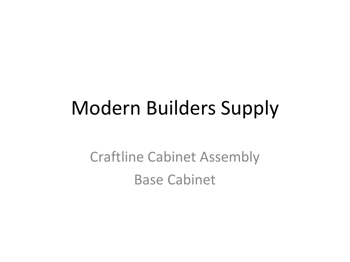# Modern Builders Supply

Craftline Cabinet Assembly Base Cabinet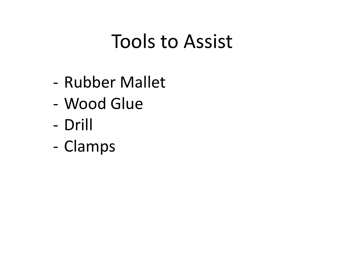### Tools to Assist

- Rubber Mallet
- Wood Glue
- Drill
- Clamps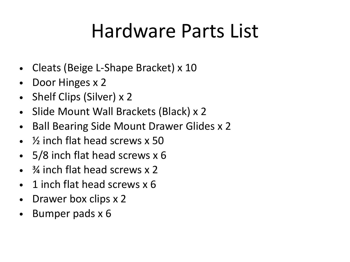# Hardware Parts List

- Cleats (Beige L-Shape Bracket) x 10
- Door Hinges x 2
- Shelf Clips (Silver) x 2
- Slide Mount Wall Brackets (Black) x 2
- Ball Bearing Side Mount Drawer Glides x 2
- ½ inch flat head screws x 50
- 5/8 inch flat head screws x 6
- <sup>3</sup>/4 inch flat head screws x 2
- 1 inch flat head screws x 6
- Drawer box clips x 2
- Bumper pads x 6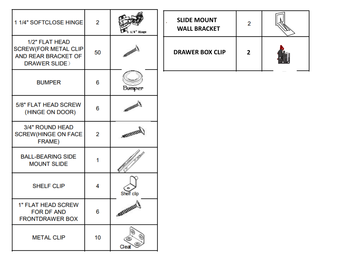| 1 1/4" SOFTCLOSE HINGE                                                                             | 2  | Hinge               |
|----------------------------------------------------------------------------------------------------|----|---------------------|
| 1/2" FLAT HEAD<br><b>SCREW(FOR METAL CLIP</b><br><b>AND REAR BRACKET OF</b><br><b>DRAWER SLIDE</b> | 50 | <b>SALUMARY</b>     |
| <b>BUMPER</b>                                                                                      | 6  | Bumper              |
| 5/8" FLAT HEAD SCREW<br>(HINGE ON DOOR)                                                            | 6  | BRITISHELL S        |
| 3/4" ROUND HEAD<br><b>SCREW(HINGE ON FACE</b><br><b>FRAME)</b>                                     | 2  | <b>MITTELETTER</b>  |
| <b>BALL-BEARING SIDE</b><br><b>MOUNT SLIDE</b>                                                     | 1  |                     |
| <b>SHELF CLIP</b>                                                                                  | 4  | Shelf clip          |
| <b>1" FLAT HEAD SCREW</b><br><b>FOR DF AND</b><br><b>FRONTDRAWER BOX</b>                           | 6  | <b>RATELERITEIT</b> |
| <b>METAL CLIP</b>                                                                                  | 10 | Clea                |

| <b>SLIDE MOUNT</b><br><b>WALL BRACKET</b> | 2 |  |
|-------------------------------------------|---|--|
| <b>DRAWER BOX CLIP</b>                    | 2 |  |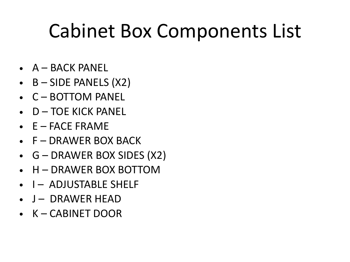# Cabinet Box Components List

- $\bullet$   $A BACK$  PANEL
- $\bullet$  B SIDE PANELS (X2)
- C BOTTOM PANEL
- D TOE KICK PANEL
- $\bullet$   $E$  FACE FRAME
- F DRAWER BOX BACK
- G DRAWER BOX SIDES (X2)
- H DRAWER BOX BOTTOM
- I ADJUSTABLE SHELF
- $\bullet$  J DRAWER HEAD
- K CABINET DOOR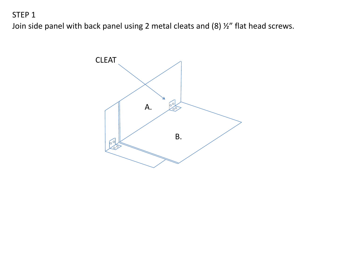Join side panel with back panel using 2 metal cleats and (8) ½" flat head screws.

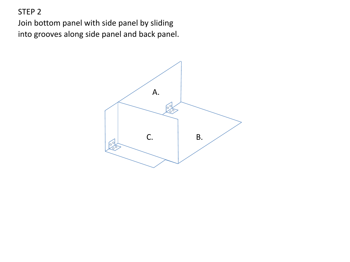Join bottom panel with side panel by sliding into grooves along side panel and back panel.

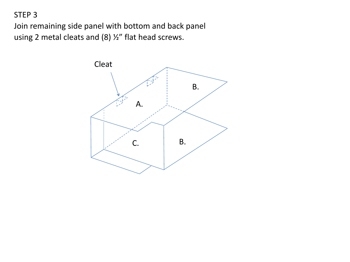Join remaining side panel with bottom and back panel using 2 metal cleats and (8) ½" flat head screws.

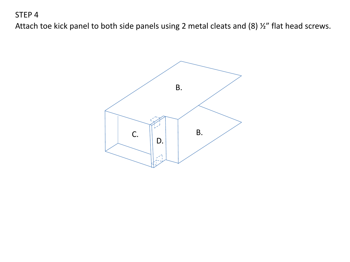Attach toe kick panel to both side panels using 2 metal cleats and (8) ½" flat head screws.

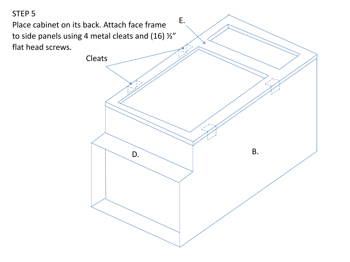Place cabinet on its back. Attach face frame to side panels using 4 metal cleats and (16) ½" flat head screws. E.  $D.$  B. Cleats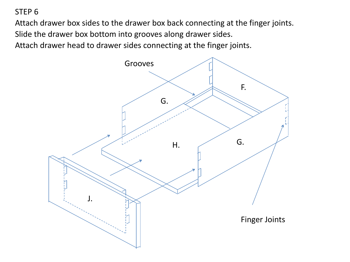Attach drawer box sides to the drawer box back connecting at the finger joints. Slide the drawer box bottom into grooves along drawer sides. Attach drawer head to drawer sides connecting at the finger joints.

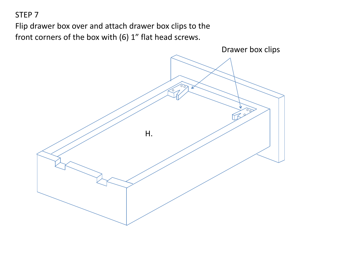Flip drawer box over and attach drawer box clips to the front corners of the box with (6) 1" flat head screws.

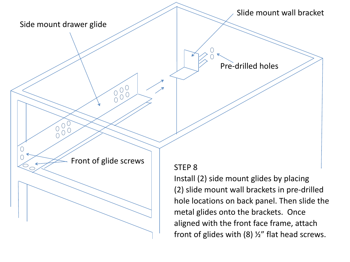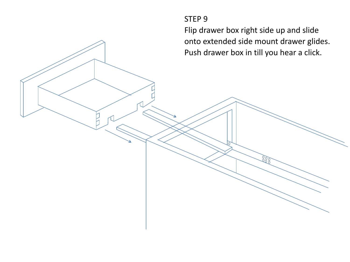Flip drawer box right side up and slide onto extended side mount drawer glides. Push drawer box in till you hear a click.

888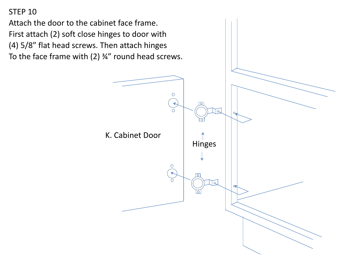Attach the door to the cabinet face frame. First attach (2) soft close hinges to door with (4) 5/8" flat head screws. Then attach hinges To the face frame with  $(2)$   $\frac{3}{4}$ " round head screws.